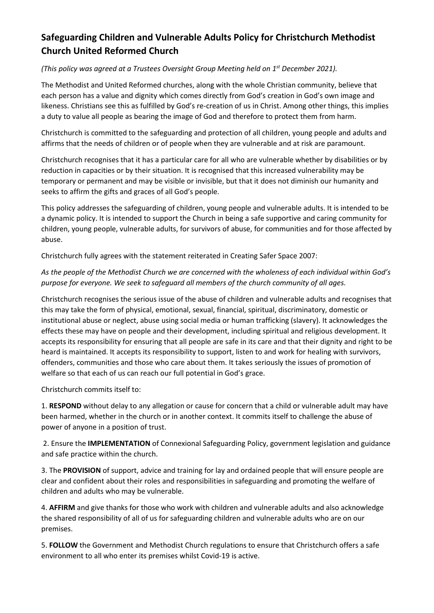# **Safeguarding Children and Vulnerable Adults Policy for Christchurch Methodist Church United Reformed Church**

## *(This policy was agreed at a Trustees Oversight Group Meeting held on 1 st December 2021).*

The Methodist and United Reformed churches, along with the whole Christian community, believe that each person has a value and dignity which comes directly from God's creation in God's own image and likeness. Christians see this as fulfilled by God's re-creation of us in Christ. Among other things, this implies a duty to value all people as bearing the image of God and therefore to protect them from harm.

Christchurch is committed to the safeguarding and protection of all children, young people and adults and affirms that the needs of children or of people when they are vulnerable and at risk are paramount.

Christchurch recognises that it has a particular care for all who are vulnerable whether by disabilities or by reduction in capacities or by their situation. It is recognised that this increased vulnerability may be temporary or permanent and may be visible or invisible, but that it does not diminish our humanity and seeks to affirm the gifts and graces of all God's people.

This policy addresses the safeguarding of children, young people and vulnerable adults. It is intended to be a dynamic policy. It is intended to support the Church in being a safe supportive and caring community for children, young people, vulnerable adults, for survivors of abuse, for communities and for those affected by abuse.

Christchurch fully agrees with the statement reiterated in Creating Safer Space 2007:

## As the people of the Methodist Church we are concerned with the wholeness of each individual within God's *purpose for everyone. We seek to safeguard all members of the church community of all ages.*

Christchurch recognises the serious issue of the abuse of children and vulnerable adults and recognises that this may take the form of physical, emotional, sexual, financial, spiritual, discriminatory, domestic or institutional abuse or neglect, abuse using social media or human trafficking (slavery). It acknowledges the effects these may have on people and their development, including spiritual and religious development. It accepts its responsibility for ensuring that all people are safe in its care and that their dignity and right to be heard is maintained. It accepts its responsibility to support, listen to and work for healing with survivors, offenders, communities and those who care about them. It takes seriously the issues of promotion of welfare so that each of us can reach our full potential in God's grace.

Christchurch commits itself to:

1. **RESPOND** without delay to any allegation or cause for concern that a child or vulnerable adult may have been harmed, whether in the church or in another context. It commits itself to challenge the abuse of power of anyone in a position of trust.

2. Ensure the **IMPLEMENTATION** of Connexional Safeguarding Policy, government legislation and guidance and safe practice within the church.

3. The **PROVISION** of support, advice and training for lay and ordained people that will ensure people are clear and confident about their roles and responsibilities in safeguarding and promoting the welfare of children and adults who may be vulnerable.

4. **AFFIRM** and give thanks for those who work with children and vulnerable adults and also acknowledge the shared responsibility of all of us for safeguarding children and vulnerable adults who are on our premises.

5. **FOLLOW** the Government and Methodist Church regulations to ensure that Christchurch offers a safe environment to all who enter its premises whilst Covid-19 is active.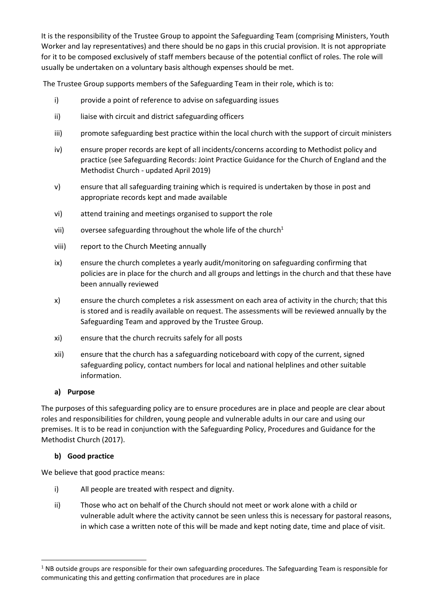It is the responsibility of the Trustee Group to appoint the Safeguarding Team (comprising Ministers, Youth Worker and lay representatives) and there should be no gaps in this crucial provision. It is not appropriate for it to be composed exclusively of staff members because of the potential conflict of roles. The role will usually be undertaken on a voluntary basis although expenses should be met.

The Trustee Group supports members of the Safeguarding Team in their role, which is to:

- i) provide a point of reference to advise on safeguarding issues
- ii) liaise with circuit and district safeguarding officers
- iii) promote safeguarding best practice within the local church with the support of circuit ministers
- iv) ensure proper records are kept of all incidents/concerns according to Methodist policy and practice (see Safeguarding Records: Joint Practice Guidance for the Church of England and the Methodist Church - updated April 2019)
- v) ensure that all safeguarding training which is required is undertaken by those in post and appropriate records kept and made available
- vi) attend training and meetings organised to support the role
- vii) oversee safeguarding throughout the whole life of the church<sup>1</sup>
- viii) report to the Church Meeting annually
- ix) ensure the church completes a yearly audit/monitoring on safeguarding confirming that policies are in place for the church and all groups and lettings in the church and that these have been annually reviewed
- x) ensure the church completes a risk assessment on each area of activity in the church; that this is stored and is readily available on request. The assessments will be reviewed annually by the Safeguarding Team and approved by the Trustee Group.
- xi) ensure that the church recruits safely for all posts
- xii) ensure that the church has a safeguarding noticeboard with copy of the current, signed safeguarding policy, contact numbers for local and national helplines and other suitable information.

## **a) Purpose**

The purposes of this safeguarding policy are to ensure procedures are in place and people are clear about roles and responsibilities for children, young people and vulnerable adults in our care and using our premises. It is to be read in conjunction with the Safeguarding Policy, Procedures and Guidance for the Methodist Church (2017).

## **b) Good practice**

1

We believe that good practice means:

- i) All people are treated with respect and dignity.
- ii) Those who act on behalf of the Church should not meet or work alone with a child or vulnerable adult where the activity cannot be seen unless this is necessary for pastoral reasons, in which case a written note of this will be made and kept noting date, time and place of visit.

<sup>&</sup>lt;sup>1</sup> NB outside groups are responsible for their own safeguarding procedures. The Safeguarding Team is responsible for communicating this and getting confirmation that procedures are in place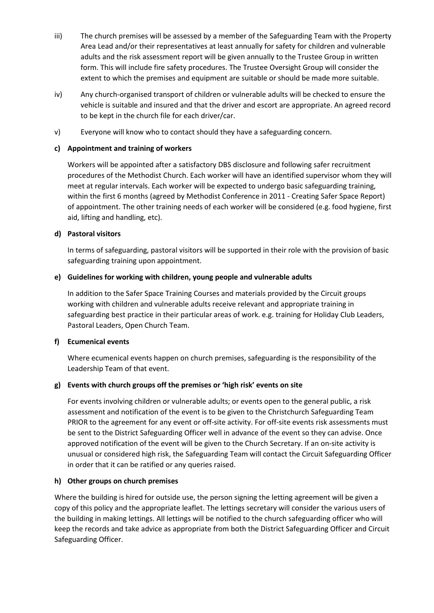- iii) The church premises will be assessed by a member of the Safeguarding Team with the Property Area Lead and/or their representatives at least annually for safety for children and vulnerable adults and the risk assessment report will be given annually to the Trustee Group in written form. This will include fire safety procedures. The Trustee Oversight Group will consider the extent to which the premises and equipment are suitable or should be made more suitable.
- iv) Any church-organised transport of children or vulnerable adults will be checked to ensure the vehicle is suitable and insured and that the driver and escort are appropriate. An agreed record to be kept in the church file for each driver/car.
- v) Everyone will know who to contact should they have a safeguarding concern.

### **c) Appointment and training of workers**

Workers will be appointed after a satisfactory DBS disclosure and following safer recruitment procedures of the Methodist Church. Each worker will have an identified supervisor whom they will meet at regular intervals. Each worker will be expected to undergo basic safeguarding training, within the first 6 months (agreed by Methodist Conference in 2011 - Creating Safer Space Report) of appointment. The other training needs of each worker will be considered (e.g. food hygiene, first aid, lifting and handling, etc).

#### **d) Pastoral visitors**

In terms of safeguarding, pastoral visitors will be supported in their role with the provision of basic safeguarding training upon appointment.

#### **e) Guidelines for working with children, young people and vulnerable adults**

In addition to the Safer Space Training Courses and materials provided by the Circuit groups working with children and vulnerable adults receive relevant and appropriate training in safeguarding best practice in their particular areas of work. e.g. training for Holiday Club Leaders, Pastoral Leaders, Open Church Team.

#### **f) Ecumenical events**

Where ecumenical events happen on church premises, safeguarding is the responsibility of the Leadership Team of that event.

## **g) Events with church groups off the premises or 'high risk' events on site**

For events involving children or vulnerable adults; or events open to the general public, a risk assessment and notification of the event is to be given to the Christchurch Safeguarding Team PRIOR to the agreement for any event or off-site activity. For off-site events risk assessments must be sent to the District Safeguarding Officer well in advance of the event so they can advise. Once approved notification of the event will be given to the Church Secretary. If an on-site activity is unusual or considered high risk, the Safeguarding Team will contact the Circuit Safeguarding Officer in order that it can be ratified or any queries raised.

## **h) Other groups on church premises**

Where the building is hired for outside use, the person signing the letting agreement will be given a copy of this policy and the appropriate leaflet. The lettings secretary will consider the various users of the building in making lettings. All lettings will be notified to the church safeguarding officer who will keep the records and take advice as appropriate from both the District Safeguarding Officer and Circuit Safeguarding Officer.